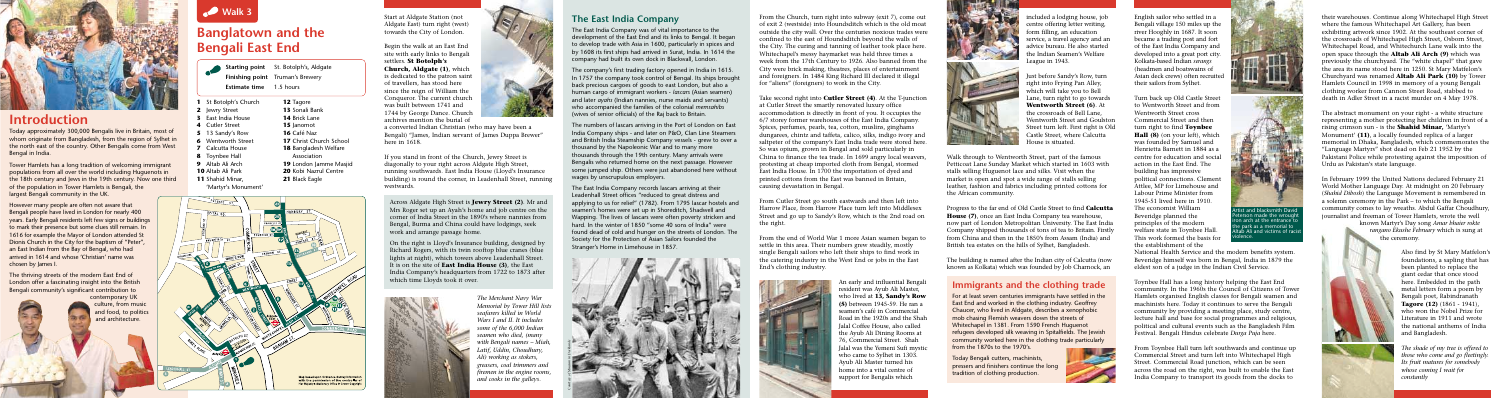Start at Aldgate Station (not Aldgate East) turn right (west) towards the City of London.

Begin the walk at an East End site with early links to Bengali settlers. **St Botolph's Church, Aldgate (1)**, which is dedicated to the patron saint of travellers, has stood here since the reign of William the Conqueror. The current church was built between 1741 and 1744 by George Dance. Church archives mention the burial of

a converted Indian Christian (who may have been a Bengali) "James, Indian servant of James Duppa Brewer" here in 1618.

If you stand in front of the Church, Jewry Street is diagonally to your right across Aldgate High Street, running southwards. East India House (Lloyd's Insurance building) is round the corner, in Leadenhall Street, running westwards.

> *The Merchant Navy War Memorial by Tower Hill list seafarers killed in World Wars I and II. It includes some of the 6,000 Indian seamen who died, (many with Bengali names – Miah, Latif, Uddin, Choudhury, Ali) working as stokers, greasers, coal trimmers and firemen in the engine rooms, and cooks in the galleys.*





# **Introduction**

Today approximately 300,000 Bengalis live in Britain, most of whom originate from Bangladesh, from the region of Sylhet in the north east of the country. Other Bengalis come from West Bengal in India.

Tower Hamlets has a long tradition of welcoming immigrant populations from all over the world including Huguenots in the 18th century and Jews in the 19th century. Now one third of the population in Tower Hamlets is Bengali, the largest Bengali community in the UK.

However many people are often not aware that Bengali people have lived in London for nearly 400 years. Early Bengali residents left few signs or buildings to mark their presence but some clues still remain. In 1616 for example the Mayor of London attended St Dionis Church in the City for the baptism of "Peter", an East Indian from the Bay of Bengal, who had arrived in 1614 and whose 'Christian' name was chosen by James I.

The thriving streets of the modern East End of London offer a fascinating insight into the British Bengali community's significant contribution to

contemporary UK culture, from music and food, to politics and architecture.

# **Banglatown and the Bengali East End**

- **Starting point** St. Botolph's, Aldgate **Finishing point** Truman's Brewery
- **Estimate time** 1.5 hours



#### **The East India Company**

The East India Company was of vital importance to the development of the East End and its links to Bengal. It began to develop trade with Asia in 1600, particularly in spices and by 1608 its first ships had arrived in Surat, India. In 1614 the company had built its own dock in Blackwall, London.

The company's first trading factory opened in India in 1615. In 1757 the company took control of Bengal. Its ships brought back precious cargoes of goods to east London, but also a human cargo of immigrant workers - *lascars* (Asian seamen) and later *ayahs* (Indian nannies, nurse maids and servants) who accompanied the families of the colonial *memsahibs* (wives of senior officials) of the Raj back to Britain.

The numbers of lascars arriving in the Port of London on East India Company ships - and later on P&O, Clan Line Steamers and British India Steamship Company vessels - grew to over a thousand by the Napoleonic War and to many more thousands through the 19th century. Many arrivals were Bengalis who returned home on the next passage. However some jumped ship. Others were just abandoned here without wages by unscrupulous employers.

The East India Company records lascars arriving at their Leadenhall Street offices "reduced to great distress and applying to us for relief" (1782). From 1795 lascar hostels and seamen's homes were set up in Shoreditch, Shadwell and Wapping. The lives of lascars were often poverty stricken and hard. In the winter of 1850 "some 40 sons of India" were found dead of cold and hunger on the streets of London. The Society for the Protection of Asian Sailors founded the Stranger's Home in Limehouse in 1857.



Turn back up Old Castle Street to Wentworth Street and from Wentworth Street cross Commercial Street and then turn right to find **Toynbee Hall (8)** (on your left), which was founded by Samuel and Henrietta Barnett in 1884 as a centre for education and social action in the East End. The building has impressive political connections. Clement Attlee, MP for Limehouse and Labour Prime Minister from 1945-51 lived here in 1910. The economist William Beveridge planned the principles of the modern welfare state in Toynbee Hall. This work formed the basis for the establishment of the National Health Service and the modern benefits system. Beveridge himself was born in Bengal, India in 1879 the eldest son of a judge in the Indian Civil Service. tist and blacksmith David erson made the wrough on arch at the entrance t e park as a memorial to taḃ Ali and victims of racis vlence.

Across Aldgate High Street is **Jewry Street (2)**. Mr and Mrs Roger set up an Ayah's home and job centre on the corner of India Street in the 1890's where nannies from Bengal, Burma and China could have lodgings, seek work and arrange passage home.

On the right is Lloyd's Insurance building, designed by Richard Rogers, with its twin rooftop blue cranes (blue lights at night), which towers above Leadenhall Street. It is on the site of **East India House (3)**, the East India Company's headquarters from 1722 to 1873 after which time Lloyds took it over.



From the Church, turn right into subway (exit 7), come out of exit 2 (westside) into Houndsditch which is the old moat outside the city wall. Over the centuries noxious trades were confined to the east of Houndsditch beyond the walls of the City. The curing and tanning of leather took place here. Whitechapel's messy haymarket was held three times a week from the 17th Century to 1926. Also banned from the City were brick making, theatres, places of entertainment and foreigners. In 1484 King Richard III declared it illegal for "aliens" (foreigners) to work in the City.

Take second right into **Cutler Street (4)**. At the T-junction at Cutler Street the smartly renovated luxury office accommodation is directly in front of you. It occupies the 6/7 storey former warehouses of the East India Company. Spices, perfumes, pearls, tea, cotton, muslins, ginghams dungarees, chintz and taffeta, calico, silks, indigo ivory and saltpeter of the company's East India trade were stored here. So was opium, grown in Bengal and sold particularly in China to finance the tea trade. In 1699 angry local weavers, protesting at cheap imported cloth from Bengal, stormed East India House. In 1700 the importation of dyed and printed cottons from the East was banned in Britain, causing devastation in Bengal.

From Cutler Street go south eastwards and then left into Harrow Place, from Harrow Place turn left into Middlesex Street and go up to Sandy's Row, which is the 2nd road on the right.

> For at least seven centuries immigrants have settled in the East End and worked in the clothing industry. Geoffrey Chaucer, who lived in Aldgate, describes a xenophobic mob chasing Flemish weavers down the streets of Whitechapel in 1381. From 1590 French Huguenot refugees developed silk weaving in Spitalfields. The Jewish community worked here in the clothing trade particularly from the 1870s to the 1970's. **Delay**

-

From the end of World War 1 more Asian seamen began to settle in this area. Their numbers grew steadily, mostly single Bengali sailors who left their ships to find work in the catering industry in the West End or jobs in the East End's clothing industry.



An early and influential Bengali resident was Ayub Ali Master, who lived at **13, Sandy's Row (5)** between 1945-59. He ran a seamen's café in Commercial Road in the 1920s and the Shah Jalal Coffee House, also called the Ayub Ali Dining Rooms at 76, Commercial Street. Shah Jalal was the Yemeni Sufi mystic who came to Sylhet in 1303. Ayub Ali Master turned his home into a vital centre of support for Bengalis which



included a lodging house, job centre offering letter writing, form filling, an education service, a travel agency and an advice bureau. He also started the Indian Seamen's Welfare League in 1943.

Just before Sandy's Row, turn right into Frying Pan Alley, which will take you to Bell Lane, turn right to go towards **Wentworth Street (6)**. At the crossroads of Bell Lane, Wentworth Street and Goulston Street turn left. First right is Old Castle Street, where Calcutta House is situated.

Walk through to Wentworth Street, part of the famous Petticoat Lane Sunday Market which started in 1603 with stalls selling Huguenot lace and silks. Visit when the market is open and spot a wide range of stalls selling leather, fashion and fabrics including printed cottons for the African community.

Progress to the far end of Old Castle Street to find **Calcutta House (7)**, once an East India Company tea warehouse, now part of London Metropolitan University. The East India Company shipped thousands of tons of tea to Britain. Firstly from China and then in the 1850's from Assam (India) and British tea estates on the hills of Sylhet, Bangladesh.

The building is named after the Indian city of Calcutta (now known as Kolkata) which was founded by Job Charnock, an

English sailor who settled in a Bengali village 150 miles up the river Hooghly in 1687. It soon became a trading post and fort of the East India Company and developed into a great port city. Kolkata-based Indian *serangs* (headmen and boatswains of Asian deck crews) often recruite their sailors from Sylhet.

Toynbee Hall has a long history helping the East End community. In the 1960s the Council of Citizens of Tower Hamlets organised English classes for Bengali seamen and machinists here. Today it continues to serve the Bengali community by providing a meeting place, study centre, lecture hall and base for social programmes and religious, political and cultural events such as the Bangladesh Film Festival. Bengali Hindus celebrate *Durga Puja* here.

From Toynbee Hall turn left southwards and continue up Commercial Street and turn left into Whitechapel High Street. Commercial Road junction, which can be seen across the road on the right, was built to enable the East India Company to transport its goods from the docks to





- **1** St Botolph's Church
- **2** Jewry Street **3** East India House
- **4** Cutler Street
- **5** 13 Sandy's Row
- **6** Wentworth Street
- **7** Calcutta House
- **8** Toynbee Hall
- **9** Altab Ali Arch
- **10** Altab Ali Park
- **11** Shahid Minar,

'Martyr's Monument'

**12** Tagore **13** Sonali Bank **14** Brick Lane 15 **Janomot 16** Café Naz

 Christ Church School Bangladesh Welfare Association London Jamme Masiid Kobi Nazrul Centre

**21** Black Eagle

their warehouses. Continue along Whitechapel High Street where the famous Whitechapel Art Gallery, has been exhibiting artwork since 1902. At the southeast corner of the crossroads of Whitechapel High Street, Osborn Street, Whitechapel Road, and Whitechurch Lane walk into the open space through the **Altab Ali Arch (9)** which was previously the churchyard. The "white chapel" that gave the area its name stood here in 1250. St Mary Matfelon's Churchyard was renamed **Altab Ali Park (10)** by Tower Hamlets Council in 1998 in memory of a young Bengali clothing worker from Cannon Street Road, stabbed to death in Adler Street in a racist murder on 4 May 1978.

The abstract monument on your right - a white structure representing a mother protecting her children in front of a rising crimson sun - is the **Shahid Minar,** 'Martyr's Monument' **(11)**, a locally founded replica of a larger memorial in Dhaka, Bangladesh, which commemorates the "Language Martyrs" shot dead on Feb 21 1952 by the Pakistani Police while protesting against the imposition of Urdu as Pakistan's state language.

In February 1999 the United Nations declared February 21 World Mother Language Day. At midnight on 20 February (*Shahid Dibosh*) the Language Movement is remembered in a solemn ceremony in the Park – to which the Bengali community comes to lay wreaths. Abdul Gaffar Choudhury, journalist and freeman of Tower Hamlets, wrote the well

> known Martyr's Day song *Amar bhaier rokte rangano Ekushe February* which is sung at the ceremony.

> > Also find by St Mary Matfelon's foundations, a sapling that has been planted to replace the giant cedar that once stood here. Embedded in the path metal letters form a poem by Bengali poet, Rabindranath **Tagore (12)** (1861 - 1941), who won the Nobel Prize for Literature in 1911 and wrote the national anthems of India and Bangladesh.

*The shade of my tree is offered to those who come and go fleetingly. Its fruit matures for somebody whose coming I wait for constantly* 

#### **Immigrants and the clothing trade**

Today Bengali cutters, machinists, pressers and finishers continue the long tradition of clothing production.

*Courtesy of Museum in Docklands*